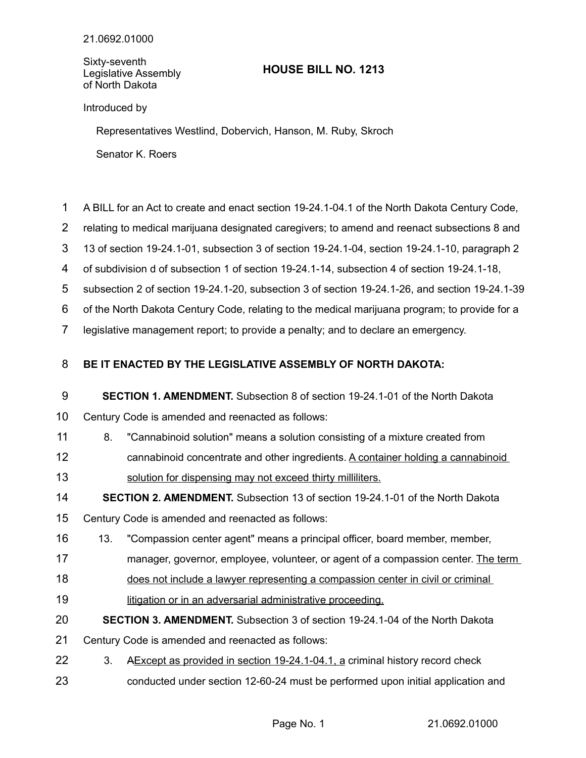Sixty-seventh Legislative Assembly of North Dakota

## **HOUSE BILL NO. 1213**

Introduced by

Representatives Westlind, Dobervich, Hanson, M. Ruby, Skroch

Senator K. Roers

- A BILL for an Act to create and enact section 19-24.1-04.1 of the North Dakota Century Code, 1
- relating to medical marijuana designated caregivers; to amend and reenact subsections 8 and 2
- 13 of section 19-24.1-01, subsection 3 of section 19-24.1-04, section 19-24.1-10, paragraph 2 3
- of subdivision d of subsection 1 of section 19-24.1-14, subsection 4 of section 19-24.1-18, 4
- subsection 2 of section 19-24.1-20, subsection 3 of section 19-24.1-26, and section 19-24.1-39 5
- of the North Dakota Century Code, relating to the medical marijuana program; to provide for a 6
- legislative management report; to provide a penalty; and to declare an emergency. 7

## **BE IT ENACTED BY THE LEGISLATIVE ASSEMBLY OF NORTH DAKOTA:** 8

## **SECTION 1. AMENDMENT.** Subsection 8 of section 19-24.1-01 of the North Dakota 9

- Century Code is amended and reenacted as follows: 10
- 8. "Cannabinoid solution" means a solution consisting of a mixture created from 11
- cannabinoid concentrate and other ingredients. A container holding a cannabinoid solution for dispensing may not exceed thirty milliliters. 12 13
- **SECTION 2. AMENDMENT.** Subsection 13 of section 19-24.1-01 of the North Dakota 14
- Century Code is amended and reenacted as follows: 15
- 13. "Compassion center agent" means a principal officer, board member, member, 16
- manager, governor, employee, volunteer, or agent of a compassion center. The term 17
- does not include a lawyer representing a compassion center in civil or criminal 18
- litigation or in an adversarial administrative proceeding. 19
- **SECTION 3. AMENDMENT.** Subsection 3 of section 19-24.1-04 of the North Dakota 20
- Century Code is amended and reenacted as follows: 21
- 3. A Except as provided in section 19-24.1-04.1, a criminal history record check 22
- conducted under section 12-60-24 must be performed upon initial application and 23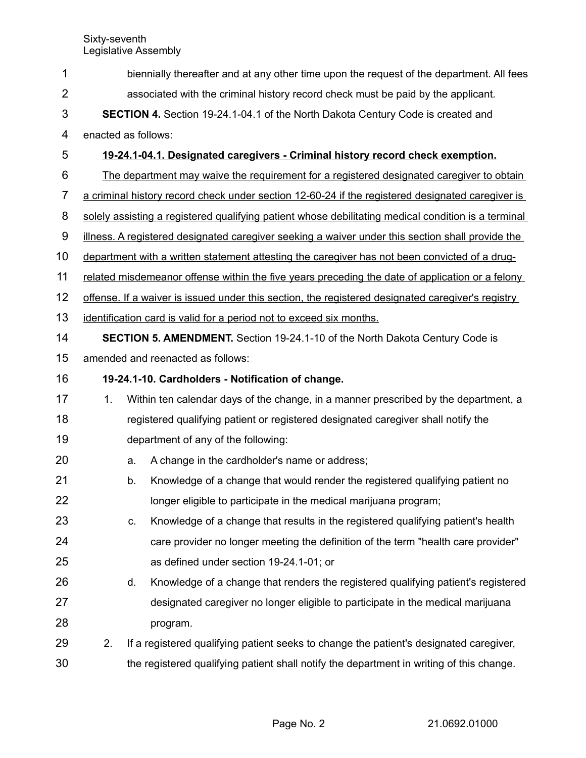biennially thereafter and at any other time upon the request of the department. All fees associated with the criminal history record check must be paid by the applicant. **SECTION 4.** Section 19-24.1-04.1 of the North Dakota Century Code is created and enacted as follows: **19-24.1-04.1. Designated caregivers - Criminal history record check exemption.** The department may waive the requirement for a registered designated caregiver to obtain a criminal history record check under section 12-60-24 if the registered designated caregiver is solely assisting a registered qualifying patient whose debilitating medical condition is a terminal illness. A registered designated caregiver seeking a waiver under this section shall provide the department with a written statement attesting the caregiver has not been convicted of a drugrelated misdemeanor offense within the five years preceding the date of application or a felony offense. If a waiver is issued under this section, the registered designated caregiver's registry identification card is valid for a period not to exceed six months. **SECTION 5. AMENDMENT.** Section 19-24.1-10 of the North Dakota Century Code is amended and reenacted as follows: **19-24.1-10. Cardholders - Notification of change.** 1. Within ten calendar days of the change, in a manner prescribed by the department, a registered qualifying patient or registered designated caregiver shall notify the department of any of the following: a. A change in the cardholder's name or address; b. Knowledge of a change that would render the registered qualifying patient no longer eligible to participate in the medical marijuana program; c. Knowledge of a change that results in the registered qualifying patient's health care provider no longer meeting the definition of the term "health care provider" as defined under section 19-24.1-01; or d. Knowledge of a change that renders the registered qualifying patient's registered designated caregiver no longer eligible to participate in the medical marijuana program. 2. If a registered qualifying patient seeks to change the patient's designated caregiver, the registered qualifying patient shall notify the department in writing of this change. 1 2 3 4 5 6 7 8 9 10 11 12 13 14 15 16 17 18 19 20 21 22 23 24 25 26 27 28 29 30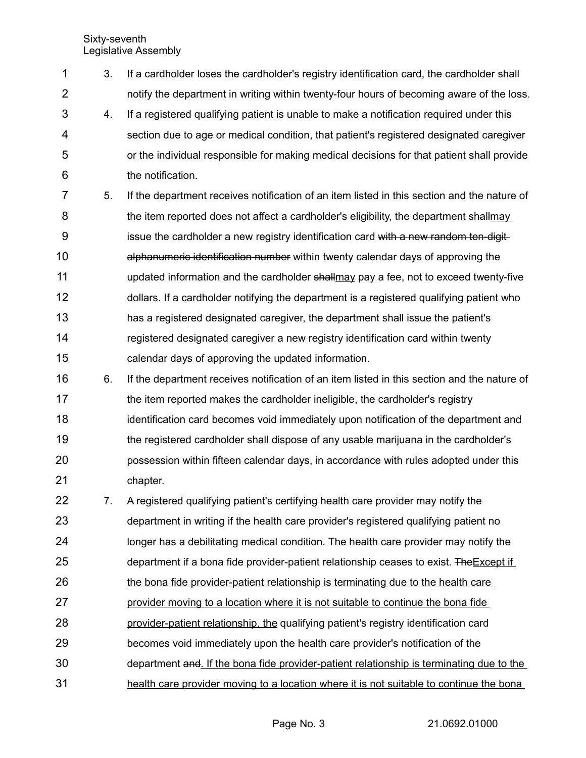Sixty-seventh Legislative Assembly

| 1              | 3. | If a cardholder loses the cardholder's registry identification card, the cardholder shall   |
|----------------|----|---------------------------------------------------------------------------------------------|
| $\overline{2}$ |    | notify the department in writing within twenty-four hours of becoming aware of the loss.    |
| 3              | 4. | If a registered qualifying patient is unable to make a notification required under this     |
| 4              |    | section due to age or medical condition, that patient's registered designated caregiver     |
| 5              |    | or the individual responsible for making medical decisions for that patient shall provide   |
| 6              |    | the notification.                                                                           |
| 7              | 5. | If the department receives notification of an item listed in this section and the nature of |
| 8              |    | the item reported does not affect a cardholder's eligibility, the department shallmay       |
| 9              |    | issue the cardholder a new registry identification card with a new random ten-digit-        |
| 10             |    | alphanumeric identification number within twenty calendar days of approving the             |
| 11             |    | updated information and the cardholder shallmay pay a fee, not to exceed twenty-five        |
| 12             |    | dollars. If a cardholder notifying the department is a registered qualifying patient who    |
| 13             |    | has a registered designated caregiver, the department shall issue the patient's             |
| 14             |    | registered designated caregiver a new registry identification card within twenty            |
| 15             |    | calendar days of approving the updated information.                                         |
| 16             | 6. | If the department receives notification of an item listed in this section and the nature of |
| 17             |    | the item reported makes the cardholder ineligible, the cardholder's registry                |
| 18             |    | identification card becomes void immediately upon notification of the department and        |
| 19             |    | the registered cardholder shall dispose of any usable marijuana in the cardholder's         |
| 20             |    | possession within fifteen calendar days, in accordance with rules adopted under this        |
| 21             |    | chapter.                                                                                    |
| 22             | 7. | A registered qualifying patient's certifying health care provider may notify the            |
| 23             |    | department in writing if the health care provider's registered qualifying patient no        |
| 24             |    | longer has a debilitating medical condition. The health care provider may notify the        |
| 25             |    | department if a bona fide provider-patient relationship ceases to exist. The Except if      |
| 26             |    | the bona fide provider-patient relationship is terminating due to the health care           |
| 27             |    | provider moving to a location where it is not suitable to continue the bona fide            |
| 28             |    | provider-patient relationship, the qualifying patient's registry identification card        |
| 29             |    | becomes void immediately upon the health care provider's notification of the                |
| 30             |    | department and. If the bona fide provider-patient relationship is terminating due to the    |
| 31             |    | health care provider moving to a location where it is not suitable to continue the bona     |

Page No. 3 21.0692.01000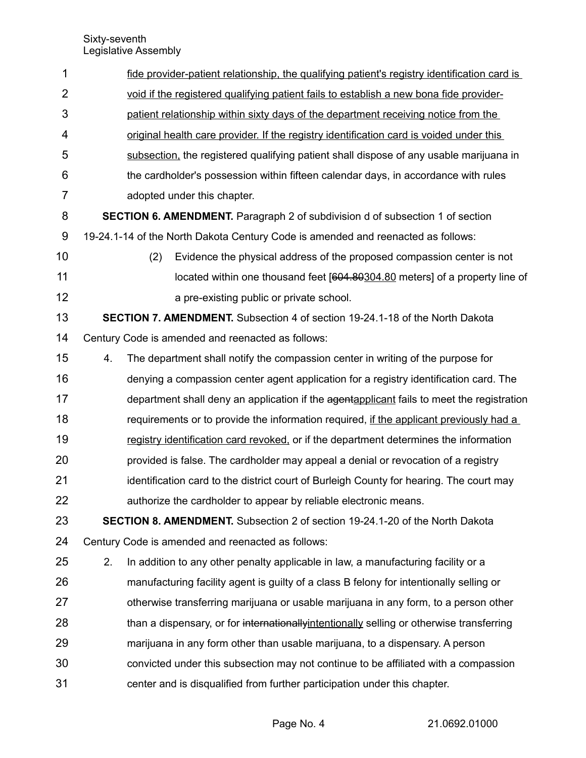| 1              |    | fide provider-patient relationship, the qualifying patient's registry identification card is |
|----------------|----|----------------------------------------------------------------------------------------------|
| $\overline{2}$ |    | void if the registered qualifying patient fails to establish a new bona fide provider-       |
| 3              |    | patient relationship within sixty days of the department receiving notice from the           |
| 4              |    | original health care provider. If the registry identification card is voided under this      |
| 5              |    | subsection, the registered qualifying patient shall dispose of any usable marijuana in       |
| 6              |    | the cardholder's possession within fifteen calendar days, in accordance with rules           |
| $\overline{7}$ |    | adopted under this chapter.                                                                  |
| 8              |    | <b>SECTION 6. AMENDMENT.</b> Paragraph 2 of subdivision d of subsection 1 of section         |
| 9              |    | 19-24.1-14 of the North Dakota Century Code is amended and reenacted as follows:             |
| 10             |    | Evidence the physical address of the proposed compassion center is not<br>(2)                |
| 11             |    | located within one thousand feet [604.80304.80 meters] of a property line of                 |
| 12             |    | a pre-existing public or private school.                                                     |
| 13             |    | SECTION 7. AMENDMENT. Subsection 4 of section 19-24.1-18 of the North Dakota                 |
| 14             |    | Century Code is amended and reenacted as follows:                                            |
| 15             | 4. | The department shall notify the compassion center in writing of the purpose for              |
| 16             |    | denying a compassion center agent application for a registry identification card. The        |
| 17             |    | department shall deny an application if the agentapplicant fails to meet the registration    |
| 18             |    | requirements or to provide the information required, if the applicant previously had a       |
| 19             |    | registry identification card revoked, or if the department determines the information        |
| 20             |    | provided is false. The cardholder may appeal a denial or revocation of a registry            |
| 21             |    | identification card to the district court of Burleigh County for hearing. The court may      |
| 22             |    | authorize the cardholder to appear by reliable electronic means.                             |
| 23             |    | <b>SECTION 8. AMENDMENT.</b> Subsection 2 of section 19-24.1-20 of the North Dakota          |
| 24             |    | Century Code is amended and reenacted as follows:                                            |
| 25             | 2. | In addition to any other penalty applicable in law, a manufacturing facility or a            |
| 26             |    | manufacturing facility agent is guilty of a class B felony for intentionally selling or      |
| 27             |    | otherwise transferring marijuana or usable marijuana in any form, to a person other          |
| 28             |    | than a dispensary, or for internationally intentionally selling or otherwise transferring    |
| 29             |    | marijuana in any form other than usable marijuana, to a dispensary. A person                 |
| 30             |    | convicted under this subsection may not continue to be affiliated with a compassion          |
| 31             |    | center and is disqualified from further participation under this chapter.                    |